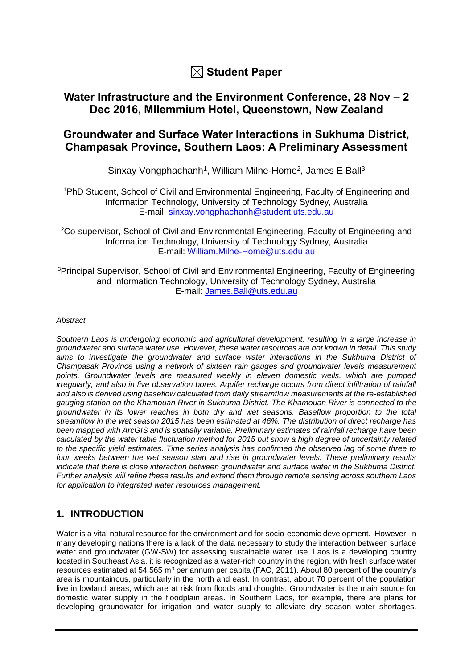

# **Water Infrastructure and the Environment Conference, 28 Nov – 2 Dec 2016, Mllemmium Hotel, Queenstown, New Zealand**

# **Groundwater and Surface Water Interactions in Sukhuma District, Champasak Province, Southern Laos: A Preliminary Assessment**

Sinxay Vongphachanh<sup>1</sup>, William Milne-Home<sup>2</sup>, James E Ball<sup>3</sup>

<sup>1</sup>PhD Student, School of Civil and Environmental Engineering, Faculty of Engineering and Information Technology, University of Technology Sydney, Australia E-mail: [sinxay.vongphachanh@student.uts.edu.au](mailto:sinxay.vongphachanh@student.uts.edu.au)

<sup>2</sup>Co-supervisor, School of Civil and Environmental Engineering, Faculty of Engineering and Information Technology, University of Technology Sydney, Australia E-mail: [William.Milne-Home@uts.edu.au](mailto:William.Milne-Home@uts.edu.au)

<sup>3</sup>Principal Supervisor, School of Civil and Environmental Engineering, Faculty of Engineering and Information Technology, University of Technology Sydney, Australia E-mail: [James.Ball@uts.edu.au](mailto:James.Ball@uts.edu.au)

#### *Abstract*

*Southern Laos is undergoing economic and agricultural development, resulting in a large increase in groundwater and surface water use. However, these water resources are not known in detail. This study aims to investigate the groundwater and surface water interactions in the Sukhuma District of Champasak Province using a network of sixteen rain gauges and groundwater levels measurement points. Groundwater levels are measured weekly in eleven domestic wells, which are pumped irregularly, and also in five observation bores. Aquifer recharge occurs from direct infiltration of rainfall and also is derived using baseflow calculated from daily streamflow measurements at the re-established gauging station on the Khamouan River in Sukhuma District. The Khamouan River is connected to the groundwater in its lower reaches in both dry and wet seasons. Baseflow proportion to the total streamflow in the wet season 2015 has been estimated at 46%. The distribution of direct recharge has been mapped with ArcGIS and is spatially variable. Preliminary estimates of rainfall recharge have been calculated by the water table fluctuation method for 2015 but show a high degree of uncertainty related to the specific yield estimates. Time series analysis has confirmed the observed lag of some three to four weeks between the wet season start and rise in groundwater levels. These preliminary results indicate that there is close interaction between groundwater and surface water in the Sukhuma District. Further analysis will refine these results and extend them through remote sensing across southern Laos for application to integrated water resources management.* 

# **1. INTRODUCTION**

Water is a vital natural resource for the environment and for socio-economic development. However, in many developing nations there is a lack of the data necessary to study the interaction between surface water and groundwater (GW-SW) for assessing sustainable water use. Laos is a developing country located in Southeast Asia. it is recognized as a water-rich country in the region, with fresh surface water resources estimated at 54,565 m<sup>3</sup> per annum per capita [\(FAO, 2011\)](#page-6-0). About 80 percent of the country's area is mountainous, particularly in the north and east. In contrast, about 70 percent of the population live in lowland areas, which are at risk from floods and droughts. Groundwater is the main source for domestic water supply in the floodplain areas. In Southern Laos, for example, there are plans for developing groundwater for irrigation and water supply to alleviate dry season water shortages.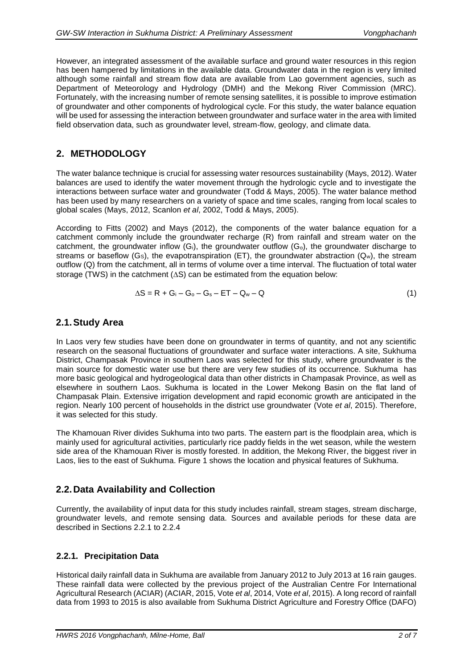However, an integrated assessment of the available surface and ground water resources in this region has been hampered by limitations in the available data. Groundwater data in the region is very limited although some rainfall and stream flow data are available from Lao government agencies, such as Department of Meteorology and Hydrology (DMH) and the Mekong River Commission (MRC). Fortunately, with the increasing number of remote sensing satellites, it is possible to improve estimation of groundwater and other components of hydrological cycle. For this study, the water balance equation will be used for assessing the interaction between groundwater and surface water in the area with limited field observation data, such as groundwater level, stream-flow, geology, and climate data.

### **2. METHODOLOGY**

The water balance technique is crucial for assessing water resources sustainability [\(Mays, 2012\)](#page-6-1). Water balances are used to identify the water movement through the hydrologic cycle and to investigate the interactions between surface water and groundwater [\(Todd & Mays, 2005\)](#page-6-2). The water balance method has been used by many researchers on a variety of space and time scales, ranging from local scales to global scales [\(Mays, 2012,](#page-6-1) [Scanlon](#page-6-3) *et al*, 2002, [Todd & Mays, 2005\)](#page-6-2).

According to [Fitts \(2002\)](#page-6-4) and [Mays \(2012\),](#page-6-1) the components of the water balance equation for a catchment commonly include the groundwater recharge (R) from rainfall and stream water on the catchment, the groundwater inflow  $(G_i)$ , the groundwater outflow  $(G_o)$ , the groundwater discharge to streams or baseflow (Gs), the evapotranspiration (ET), the groundwater abstraction  $(Q_w)$ , the stream outflow (Q) from the catchment, all in terms of volume over a time interval. The fluctuation of total water storage (TWS) in the catchment  $(AS)$  can be estimated from the equation below:

$$
\Delta S = R + G_i - G_o - G_s - ET - Q_w - Q \qquad (1)
$$

### **2.1.Study Area**

In Laos very few studies have been done on groundwater in terms of quantity, and not any scientific research on the seasonal fluctuations of groundwater and surface water interactions. A site, Sukhuma District, Champasak Province in southern Laos was selected for this study, where groundwater is the main source for domestic water use but there are very few studies of its occurrence. Sukhuma has more basic geological and hydrogeological data than other districts in Champasak Province, as well as elsewhere in southern Laos. Sukhuma is located in the Lower Mekong Basin on the flat land of Champasak Plain. Extensive irrigation development and rapid economic growth are anticipated in the region. Nearly 100 percent of households in the district use groundwater (Vote *et al*[, 2015\)](#page-6-5). Therefore, it was selected for this study.

The Khamouan River divides Sukhuma into two parts. The eastern part is the floodplain area, which is mainly used for agricultural activities, particularly rice paddy fields in the wet season, while the western side area of the Khamouan River is mostly forested. In addition, the Mekong River, the biggest river in Laos, lies to the east of Sukhuma. Figure 1 shows the location and physical features of Sukhuma.

# **2.2.Data Availability and Collection**

Currently, the availability of input data for this study includes rainfall, stream stages, stream discharge, groundwater levels, and remote sensing data. Sources and available periods for these data are described in Sections 2.2.1 to 2.2.4

### **2.2.1. Precipitation Data**

Historical daily rainfall data in Sukhuma are available from January 2012 to July 2013 at 16 rain gauges. These rainfall data were collected by the previous project of the Australian Centre For International Agricultural Research (ACIAR) [\(ACIAR, 2015,](#page-5-0) Vote *et al*[, 2014,](#page-6-6) Vote *et al*[, 2015\)](#page-6-5). A long record of rainfall data from 1993 to 2015 is also available from Sukhuma District Agriculture and Forestry Office (DAFO)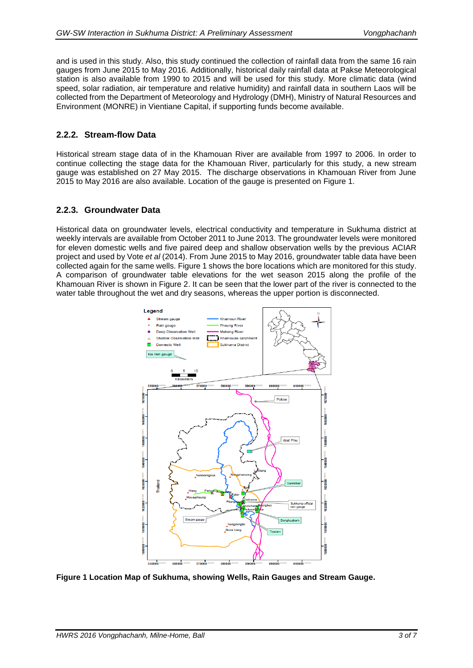and is used in this study. Also, this study continued the collection of rainfall data from the same 16 rain gauges from June 2015 to May 2016. Additionally, historical daily rainfall data at Pakse Meteorological station is also available from 1990 to 2015 and will be used for this study. More climatic data (wind speed, solar radiation, air temperature and relative humidity) and rainfall data in southern Laos will be collected from the Department of Meteorology and Hydrology (DMH), Ministry of Natural Resources and Environment (MONRE) in Vientiane Capital, if supporting funds become available.

### **2.2.2. Stream-flow Data**

Historical stream stage data of in the Khamouan River are available from 1997 to 2006. In order to continue collecting the stage data for the Khamouan River, particularly for this study, a new stream gauge was established on 27 May 2015. The discharge observations in Khamouan River from June 2015 to May 2016 are also available. Location of the gauge is presented on Figure 1.

### **2.2.3. Groundwater Data**

Historical data on groundwater levels, electrical conductivity and temperature in Sukhuma district at weekly intervals are available from October 2011 to June 2013. The groundwater levels were monitored for eleven domestic wells and five paired deep and shallow observation wells by the previous ACIAR project and used by Vote *et al* [\(2014\).](#page-6-6) From June 2015 to May 2016, groundwater table data have been collected again for the same wells. Figure 1 shows the bore locations which are monitored for this study. A comparison of groundwater table elevations for the wet season 2015 along the profile of the Khamouan River is shown in Figure 2. It can be seen that the lower part of the river is connected to the water table throughout the wet and dry seasons, whereas the upper portion is disconnected.



**Figure 1 Location Map of Sukhuma, showing Wells, Rain Gauges and Stream Gauge.**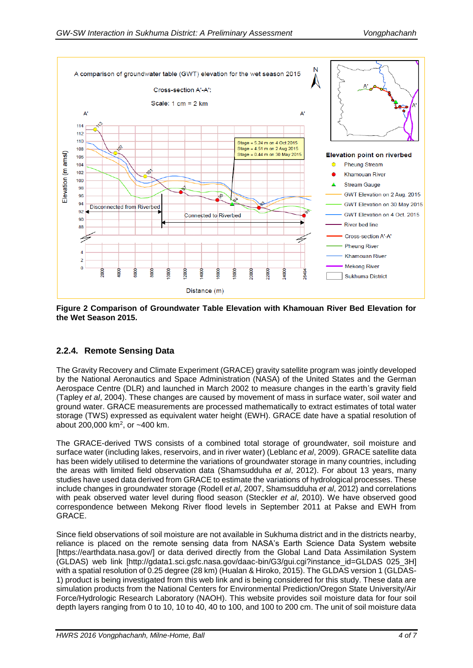

**Figure 2 Comparison of Groundwater Table Elevation with Khamouan River Bed Elevation for the Wet Season 2015.**

# **2.2.4. Remote Sensing Data**

The Gravity Recovery and Climate Experiment (GRACE) gravity satellite program was jointly developed by the National Aeronautics and Space Administration (NASA) of the United States and the German Aerospace Centre (DLR) and launched in March 2002 to measure changes in the earth's gravity field [\(Tapley](#page-6-7) *et al*, 2004). These changes are caused by movement of mass in surface water, soil water and ground water. GRACE measurements are processed mathematically to extract estimates of total water storage (TWS) expressed as equivalent water height (EWH). GRACE date have a spatial resolution of about 200,000 km<sup>2</sup> , or ~400 km.

The GRACE-derived TWS consists of a combined total storage of groundwater, soil moisture and surface water (including lakes, reservoirs, and in river water) [\(Leblanc](#page-6-8) *et al*, 2009). GRACE satellite data has been widely utilised to determine the variations of groundwater storage in many countries, including the areas with limited field observation data [\(Shamsudduha](#page-6-9) *et al*, 2012). For about 13 years, many studies have used data derived from GRACE to estimate the variations of hydrological processes. These include changes in groundwater storage [\(Rodell](#page-6-10) *et al*, 2007, [Shamsudduha](#page-6-9) *et al*, 2012) and correlations with peak observed water level during flood season [\(Steckler](#page-6-11) *et al*, 2010). We have observed good correspondence between Mekong River flood levels in September 2011 at Pakse and EWH from GRACE.

Since field observations of soil moisture are not available in Sukhuma district and in the districts nearby, reliance is placed on the remote sensing data from NASA's Earth Science Data System website [https://earthdata.nasa.gov/] or data derived directly from the Global Land Data Assimilation System (GLDAS) web link [http://gdata1.sci.gsfc.nasa.gov/daac-bin/G3/gui.cgi?instance\_id=GLDAS 025\_3H] with a spatial resolution of 0.25 degree (28 km) [\(Hualan & Hiroko, 2015\)](#page-6-12). The GLDAS version 1 (GLDAS-1) product is being investigated from this web link and is being considered for this study. These data are simulation products from the National Centers for Environmental Prediction/Oregon State University/Air Force/Hydrologic Research Laboratory (NAOH). This website provides soil moisture data for four soil depth layers ranging from 0 to 10, 10 to 40, 40 to 100, and 100 to 200 cm. The unit of soil moisture data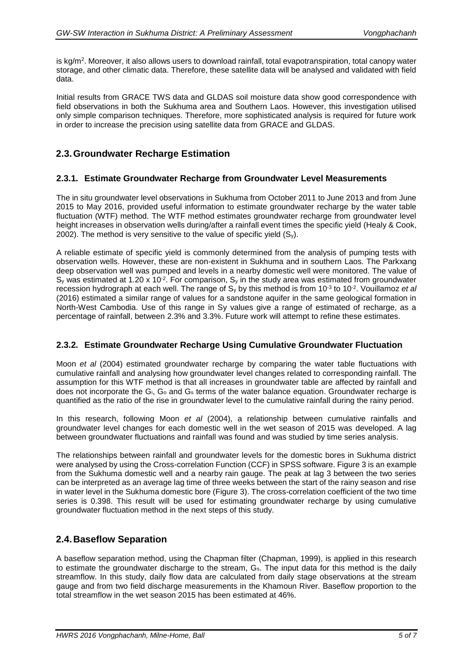is kg/m². Moreover, it also allows users to download rainfall, total evapotranspiration, total canopy water storage, and other climatic data. Therefore, these satellite data will be analysed and validated with field data.

Initial results from GRACE TWS data and GLDAS soil moisture data show good correspondence with field observations in both the Sukhuma area and Southern Laos. However, this investigation utilised only simple comparison techniques. Therefore, more sophisticated analysis is required for future work in order to increase the precision using satellite data from GRACE and GLDAS.

### **2.3.Groundwater Recharge Estimation**

#### **2.3.1. Estimate Groundwater Recharge from Groundwater Level Measurements**

The in situ groundwater level observations in Sukhuma from October 2011 to June 2013 and from June 2015 to May 2016, provided useful information to estimate groundwater recharge by the water table fluctuation (WTF) method. The WTF method estimates groundwater recharge from groundwater level height increases in observation wells during/after a rainfall event times the specific yield [\(Healy & Cook,](#page-6-13)  [2002\)](#page-6-13). The method is very sensitive to the value of specific yield  $(S_v)$ .

A reliable estimate of specific yield is commonly determined from the analysis of pumping tests with observation wells. However, these are non-existent in Sukhuma and in southern Laos. The Parkxang deep observation well was pumped and levels in a nearby domestic well were monitored. The value of S<sub>y</sub> was estimated at 1.20 x 10<sup>-2</sup>. For comparison, S<sub>y</sub> in the study area was estimated from groundwater recession hydrograph at each well. The range of S<sub>y</sub> by this method is from 10<sup>-3</sup> to 10<sup>-2</sup>. [Vouillamoz](#page-6-14) *et al* (2016) estimated a similar range of values for a sandstone aquifer in the same geological formation in North-West Cambodia. Use of this range in Sy values give a range of estimated of recharge, as a percentage of rainfall, between 2.3% and 3.3%. Future work will attempt to refine these estimates.

#### **2.3.2. Estimate Groundwater Recharge Using Cumulative Groundwater Fluctuation**

Moon *et al* [\(2004\)](#page-6-15) estimated groundwater recharge by comparing the water table fluctuations with cumulative rainfall and analysing how groundwater level changes related to corresponding rainfall. The assumption for this WTF method is that all increases in groundwater table are affected by rainfall and does not incorporate the  $G_i$ ,  $G_o$  and  $G_s$  terms of the water balance equation. Groundwater recharge is quantified as the ratio of the rise in groundwater level to the cumulative rainfall during the rainy period.

In this research, following Moon *et al* [\(2004\),](#page-6-15) a relationship between cumulative rainfalls and groundwater level changes for each domestic well in the wet season of 2015 was developed. A lag between groundwater fluctuations and rainfall was found and was studied by time series analysis.

The relationships between rainfall and groundwater levels for the domestic bores in Sukhuma district were analysed by using the Cross-correlation Function (CCF) in SPSS software. Figure 3 is an example from the Sukhuma domestic well and a nearby rain gauge. The peak at lag 3 between the two series can be interpreted as an average lag time of three weeks between the start of the rainy season and rise in water level in the Sukhuma domestic bore (Figure 3). The cross-correlation coefficient of the two time series is 0.398. This result will be used for estimating groundwater recharge by using cumulative groundwater fluctuation method in the next steps of this study.

### **2.4.Baseflow Separation**

A baseflow separation method, using the Chapman filter [\(Chapman, 1999\)](#page-5-1), is applied in this research to estimate the groundwater discharge to the stream, G<sub>s</sub>. The input data for this method is the daily streamflow. In this study, daily flow data are calculated from daily stage observations at the stream gauge and from two field discharge measurements in the Khamoun River. Baseflow proportion to the total streamflow in the wet season 2015 has been estimated at 46%.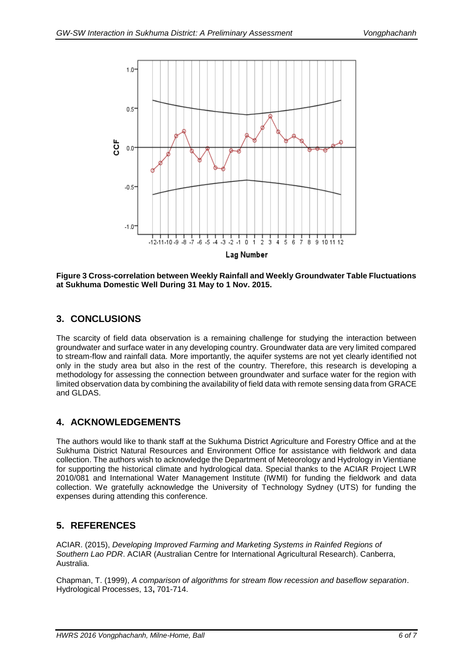

**Figure 3 Cross-correlation between Weekly Rainfall and Weekly Groundwater Table Fluctuations at Sukhuma Domestic Well During 31 May to 1 Nov. 2015.**

# **3. CONCLUSIONS**

The scarcity of field data observation is a remaining challenge for studying the interaction between groundwater and surface water in any developing country. Groundwater data are very limited compared to stream-flow and rainfall data. More importantly, the aquifer systems are not yet clearly identified not only in the study area but also in the rest of the country. Therefore, this research is developing a methodology for assessing the connection between groundwater and surface water for the region with limited observation data by combining the availability of field data with remote sensing data from GRACE and GLDAS.

# **4. ACKNOWLEDGEMENTS**

The authors would like to thank staff at the Sukhuma District Agriculture and Forestry Office and at the Sukhuma District Natural Resources and Environment Office for assistance with fieldwork and data collection. The authors wish to acknowledge the Department of Meteorology and Hydrology in Vientiane for supporting the historical climate and hydrological data. Special thanks to the ACIAR Project LWR 2010/081 and International Water Management Institute (IWMI) for funding the fieldwork and data collection. We gratefully acknowledge the University of Technology Sydney (UTS) for funding the expenses during attending this conference.

# **5. REFERENCES**

<span id="page-5-0"></span>ACIAR. (2015), *Developing Improved Farming and Marketing Systems in Rainfed Regions of Southern Lao PDR*. ACIAR (Australian Centre for International Agricultural Research). Canberra, Australia.

<span id="page-5-1"></span>Chapman, T. (1999), *A comparison of algorithms for stream flow recession and baseflow separation*. Hydrological Processes, 13**,** 701-714.